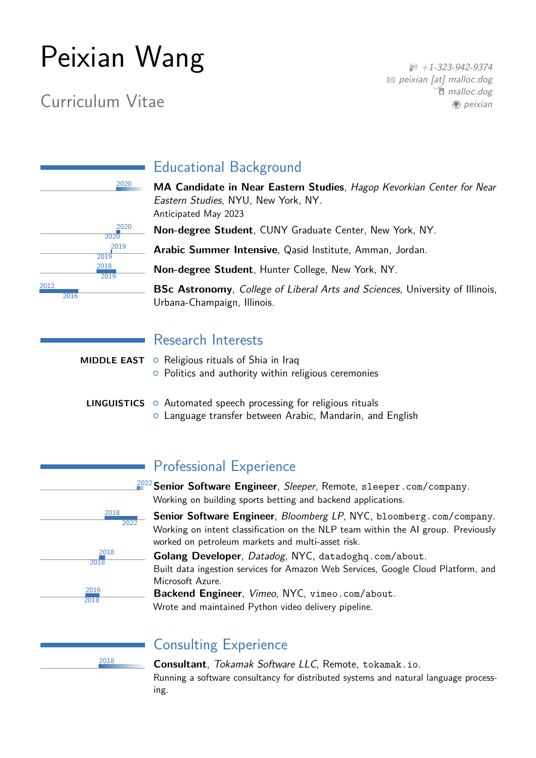# <span id="page-0-0"></span>Peixian Wang

# Curriculum Vitae

 $$+1-323-942-9374$  $$+1-323-942-9374$  $\boxtimes$  [peixian \[at\] malloc.dog](mailto:peixian [at] malloc.dog) **<sup>m</sup>** [malloc.dog](https://malloc.dog) **D**eixian

|      | 2020 |
|------|------|
|      |      |
|      |      |
|      | 2020 |
|      | 2020 |
|      | 2019 |
|      | 2019 |
|      | 2018 |
|      | 2019 |
| 2012 |      |
| 2016 |      |

# Educational Background

<sup>2020</sup> **MA Candidate in Near Eastern Studies**, Hagop Kevorkian Center for Near Eastern Studies, NYU, New York, NY. Anticipated May 2023

**Non-degree Student**, CUNY Graduate Center, New York, NY.

**Arabic Summer Intensive**, Qasid Institute, Amman, Jordan.

**Non-degree Student**, Hunter College, New York, NY.

**BSc Astronomy**, College of Liberal Arts and Sciences, University of Illinois, Urbana-Champaign, Illinois.

|  | <b>Research Interests</b> |  |  |  |  |
|--|---------------------------|--|--|--|--|
|--|---------------------------|--|--|--|--|

| <b>MIDDLE EAST</b> $\circ$ Religious rituals of Shia in Iraq<br>• Politics and authority within religious ceremonies                      |
|-------------------------------------------------------------------------------------------------------------------------------------------|
| <b>LINGUISTICS</b> $\circ$ Automated speech processing for religious rituals<br>o Language transfer between Arabic, Mandarin, and English |



# Professional Experience

<sup>2022</sup>**Senior Software Engineer**, Sleeper, Remote, [sleeper.com/company](https://sleeper.com/company). Working on building sports betting and backend applications.

**Senior Software Engineer**, Bloomberg LP, NYC, [bloomberg.com/company](https://bloomberg.com/company). Working on intent classification on the NLP team within the AI group. Previously worked on petroleum markets and multi-asset risk.

**Golang Developer**, Datadog, NYC, [datadoghq.com/about](https://datadoghq.com/about). Built data ingestion services for Amazon Web Services, Google Cloud Platform, and Microsoft Azure.

**Backend Engineer**, Vimeo, NYC, [vimeo.com/about](https://vimeo.com/about).

Wrote and maintained Python video delivery pipeline.

# Consulting Experience

<sup>2018</sup> **Consultant**, Tokamak Software LLC, Remote, [tokamak.io](https://tokamak.io). Running a software consultancy for distributed systems and natural language processing.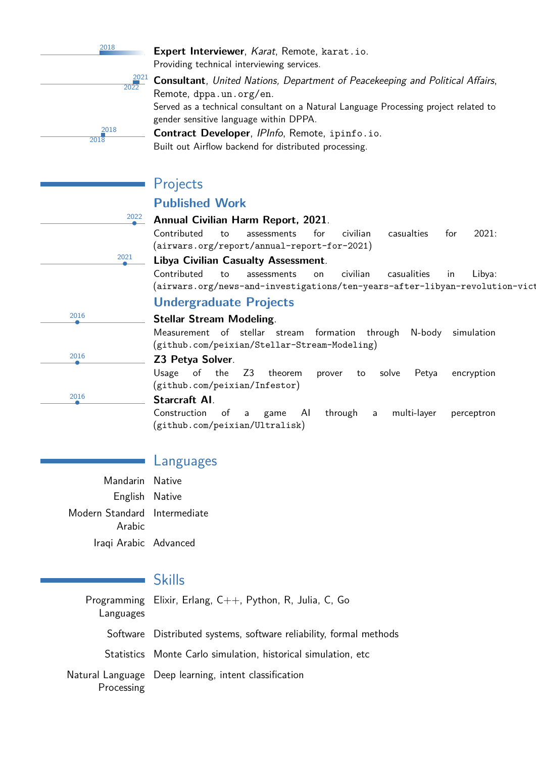<sup>2018</sup> **Expert Interviewer**, Karat, Remote, [karat.io](https://karat.io).

Providing technical interviewing services.

2021  $202$ 2018 2018

**Consultant**, United Nations, Department of Peacekeeping and Political Affairs, Remote, [dppa.un.org/en](https://dppa.un.org/en). Served as a technical consultant on a Natural Language Processing project related to gender sensitive language within DPPA.

**Contract Developer**, IPInfo, Remote, [ipinfo.io](https://ipinfo.io). Built out Airflow backend for distributed processing.

# Projects

2022

# **Published Work**

#### • **Annual Civilian Harm Report, 2021**.

Contributed to assessments for civilian casualties for 2021: ([airwars.org/report/annual-report-for-2021](https://airwars.org/report/annual-report-for-2021/))

#### • **Libya Civilian Casualty Assessment**.

Contributed to assessments on civilian casualities in Libya: (airwars.org/news-and-investigations/ten-years-after-libyan-revolution-vict

## **Undergraduate Projects**

#### • **Stellar Stream Modeling**.

Measurement of stellar stream formation through N-body simulation ([github.com/peixian/Stellar-Stream-Modeling](https://github.com/peixian/Stellar-Stream-Modeling))

#### • **Z3 Petya Solver**.

Usage of the Z3 theorem prover to solve Petya encryption ([github.com/peixian/Infestor](#page-0-0))

#### • **Starcraft AI**.

Construction of a game AI through a multi-layer perceptron ([github.com/peixian/Ultralisk](https://github.com/peixian/ultralisk))

## Languages

Mandarin Native English Native Modern Standard Intermediate Arabic Iraqi Arabic Advanced

## Skills

Programming Elixir, Erlang, C++, Python, R, Julia, C, Go Languages Software Distributed systems, software reliability, formal methods Statistics Monte Carlo simulation, historical simulation, etc Natural Language Deep learning, intent classificationProcessing